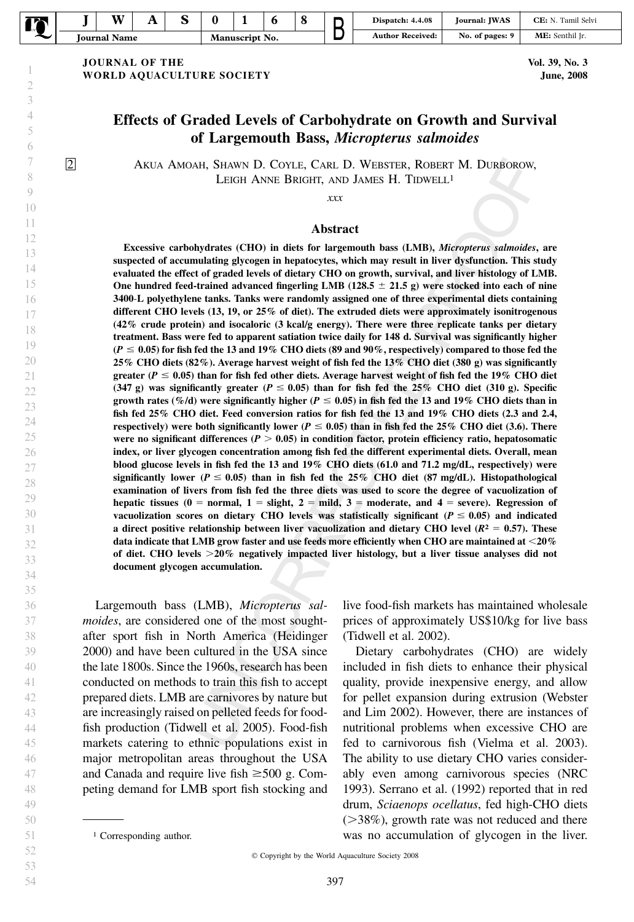| ℡<br>∽<br>$\sim$ |                                        | w | . . |  |                |  |  |  | Dispatch: 4.4.08    | <b>IWAS</b><br>Iournal: | Tamil Selvi<br>CE: |
|------------------|----------------------------------------|---|-----|--|----------------|--|--|--|---------------------|-------------------------|--------------------|
|                  | $\mathbf{1}$<br><b>Name</b><br>lournal |   |     |  | Manuscript No. |  |  |  | Received:<br>Author | No. of pages: 9         | Senthil Ir.<br>ME: |

JOURNAL OF THE WORLD AQUACULTURE SOCIETY

Vol. 39, No. 3 June, 2008

## Effects of Graded Levels of Carbohydrate on Growth and Survival of Largemouth Bass, Micropterus salmoides

2 A AKUA MOAH, SHAWN D. COYLE, CARL D. WEBSTER, ROBERT M. DURBOROW, LEIGH ANNE BRIGHT, AND JAMES H. TIDWELL<sup>1</sup>

xxx

#### Abstract

Excessive carbohydrates (CHO) in diets for largemouth bass (LMB), Micropterus salmoides, are suspected of accumulating glycogen in hepatocytes, which may result in liver dysfunction. This study evaluated the effect of graded levels of dietary CHO on growth, survival, and liver histology of LMB. One hundred feed-trained advanced fingerling LMB (128.5  $\pm$  21.5 g) were stocked into each of nine 3400-L polyethylene tanks. Tanks were randomly assigned one of three experimental diets containing different CHO levels (13, 19, or 25% of diet). The extruded diets were approximately isonitrogenous (42% crude protein) and isocaloric (3 kcal/g energy). There were three replicate tanks per dietary treatment. Bass were fed to apparent satiation twice daily for 148 d. Survival was significantly higher  $(P \le 0.05)$  for fish fed the 13 and 19% CHO diets (89 and 90%, respectively) compared to those fed the 25% CHO diets (82%). Average harvest weight of fish fed the 13% CHO diet (380 g) was significantly greater ( $P \le 0.05$ ) than for fish fed other diets. Average harvest weight of fish fed the 19% CHO diet (347 g) was significantly greater ( $P \le 0.05$ ) than for fish fed the 25% CHO diet (310 g). Specific growth rates (%/d) were significantly higher ( $P \le 0.05$ ) in fish fed the 13 and 19% CHO diets than in fish fed 25% CHO diet. Feed conversion ratios for fish fed the 13 and 19% CHO diets (2.3 and 2.4, respectively) were both significantly lower ( $P \le 0.05$ ) than in fish fed the 25% CHO diet (3.6). There were no significant differences ( $P > 0.05$ ) in condition factor, protein efficiency ratio, hepatosomatic index, or liver glycogen concentration among fish fed the different experimental diets. Overall, mean blood glucose levels in fish fed the 13 and 19% CHO diets (61.0 and 71.2 mg/dL, respectively) were significantly lower ( $P \le 0.05$ ) than in fish fed the 25% CHO diet (87 mg/dL). Histopathological examination of livers from fish fed the three diets was used to score the degree of vacuolization of hepatic tissues (0 = normal, 1 = slight, 2 = mild, 3 = moderate, and 4 = severe). Regression of vacuolization scores on dietary CHO levels was statistically significant ( $P \le 0.05$ ) and indicated a direct positive relationship between liver vacuolization and dietary CHO level ( $R^2 = 0.57$ ). These data indicate that LMB grow faster and use feeds more efficiently when CHO are maintained at  $<$  20% of diet. CHO levels  $>20\%$  negatively impacted liver histology, but a liver tissue analyses did not document glycogen accumulation.

Largemouth bass (LMB), Micropterus salmoides, are considered one of the most soughtafter sport fish in North America (Heidinger 2000) and have been cultured in the USA since the late 1800s. Since the 1960s, research has been conducted on methods to train this fish to accept prepared diets. LMB are carnivores by nature but are increasingly raised on pelleted feeds for foodfish production (Tidwell et al. 2005). Food-fish markets catering to ethnic populations exist in major metropolitan areas throughout the USA and Canada and require live fish  $\geq 500$  g. Competing demand for LMB sport fish stocking and

live food-fish markets has maintained wholesale prices of approximately US\$10/kg for live bass (Tidwell et al. 2002).

Dietary carbohydrates (CHO) are widely included in fish diets to enhance their physical quality, provide inexpensive energy, and allow for pellet expansion during extrusion (Webster and Lim 2002). However, there are instances of nutritional problems when excessive CHO are fed to carnivorous fish (Vielma et al. 2003). The ability to use dietary CHO varies considerably even among carnivorous species (NRC 1993). Serrano et al. (1992) reported that in red drum, Sciaenops ocellatus, fed high-CHO diets  $($ >38%), growth rate was not reduced and there <sup>1</sup> Corresponding author. **1** Corresponding author. **1** Corresponding author.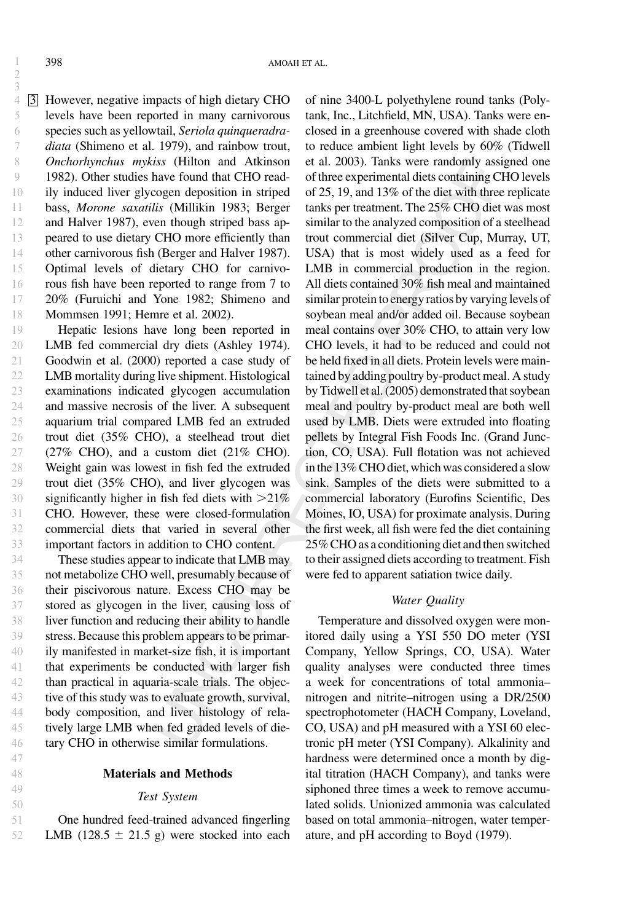2 3

4 3 However, negative impacts of high dietary CHO levels have been reported in many carnivorous species such as yellowtail, Seriola quinqueradradiata (Shimeno et al. 1979), and rainbow trout, Onchorhynchus mykiss (Hilton and Atkinson 1982). Other studies have found that CHO readily induced liver glycogen deposition in striped bass, Morone saxatilis (Millikin 1983; Berger and Halver 1987), even though striped bass appeared to use dietary CHO more efficiently than other carnivorous fish (Berger and Halver 1987). Optimal levels of dietary CHO for carnivorous fish have been reported to range from 7 to 20% (Furuichi and Yone 1982; Shimeno and Mommsen 1991; Hemre et al. 2002).

Hepatic lesions have long been reported in LMB fed commercial dry diets (Ashley 1974). Goodwin et al. (2000) reported a case study of LMB mortality during live shipment. Histological examinations indicated glycogen accumulation and massive necrosis of the liver. A subsequent aquarium trial compared LMB fed an extruded trout diet (35% CHO), a steelhead trout diet (27% CHO), and a custom diet (21% CHO). Weight gain was lowest in fish fed the extruded trout diet (35% CHO), and liver glycogen was significantly higher in fish fed diets with  $>21\%$ CHO. However, these were closed-formulation commercial diets that varied in several other important factors in addition to CHO content. 19 20 21 22 23 24 25 26 27 28 29 30 31 32 33

These studies appear to indicate that LMB may not metabolize CHO well, presumably because of their piscivorous nature. Excess CHO may be stored as glycogen in the liver, causing loss of liver function and reducing their ability to handle stress. Because this problem appears to be primarily manifested in market-size fish, it is important that experiments be conducted with larger fish than practical in aquaria-scale trials. The objective of this study was to evaluate growth, survival, body composition, and liver histology of relatively large LMB when fed graded levels of dietary CHO in otherwise similar formulations. 34 35 36 37 38 39 40 41 42 43 44 45 46

### Materials and Methods

## Test System

One hundred feed-trained advanced fingerling LMB (128.5  $\pm$  21.5 g) were stocked into each of nine 3400-L polyethylene round tanks (Polytank, Inc., Litchfield, MN, USA). Tanks were enclosed in a greenhouse covered with shade cloth to reduce ambient light levels by 60% (Tidwell et al. 2003). Tanks were randomly assigned one of three experimental diets containing CHO levels of 25, 19, and 13% of the diet with three replicate tanks per treatment. The 25% CHO diet was most similar to the analyzed composition of a steelhead trout commercial diet (Silver Cup, Murray, UT, USA) that is most widely used as a feed for LMB in commercial production in the region. All diets contained 30% fish meal and maintained similar protein to energy ratios by varying levels of soybean meal and/or added oil. Because soybean meal contains over 30% CHO, to attain very low CHO levels, it had to be reduced and could not be held fixed in all diets. Protein levels were maintained by adding poultry by-product meal. A study by Tidwell et al. (2005) demonstrated that soybean meal and poultry by-product meal are both well used by LMB. Diets were extruded into floating pellets by Integral Fish Foods Inc. (Grand Junction, CO, USA). Full flotation was not achieved inthe 13% CHO diet, which was considered a slow sink. Samples of the diets were submitted to a commercial laboratory (Eurofins Scientific, Des Moines, IO, USA) for proximate analysis. During the first week, all fish were fed the diet containing 25% CHO as a conditioning diet and then switched to their assigned diets according to treatment. Fish were fed to apparent satiation twice daily.

## Water *Quality*

Temperature and dissolved oxygen were monitored daily using a YSI 550 DO meter (YSI Company, Yellow Springs, CO, USA). Water quality analyses were conducted three times a week for concentrations of total ammonia– nitrogen and nitrite–nitrogen using a DR/2500 spectrophotometer (HACH Company, Loveland, CO, USA) and pH measured with a YSI 60 electronic pH meter (YSI Company). Alkalinity and hardness were determined once a month by digital titration (HACH Company), and tanks were siphoned three times a week to remove accumulated solids. Unionized ammonia was calculated based on total ammonia–nitrogen, water temperature, and pH according to Boyd (1979).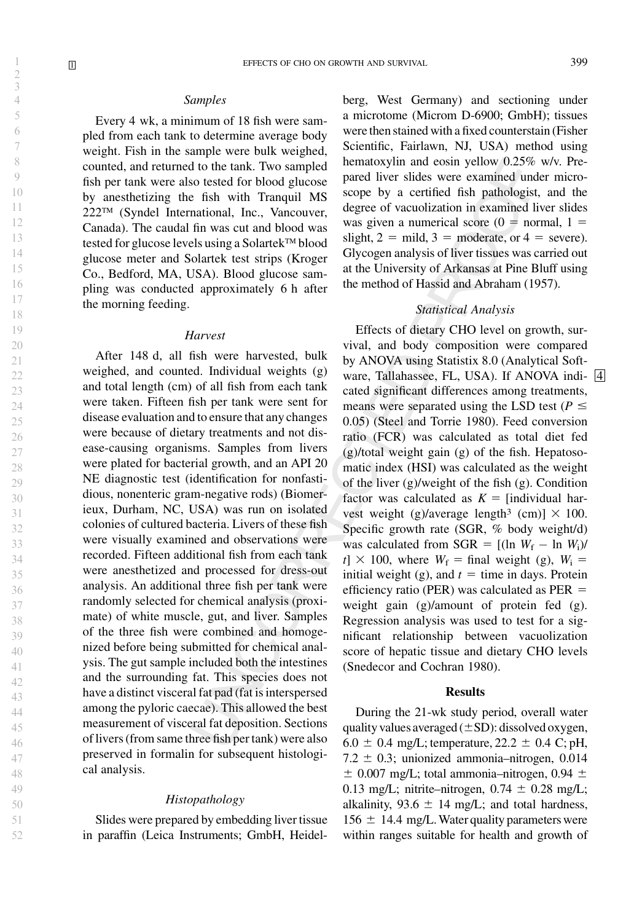### Samples

Every 4 wk, a minimum of 18 fish were sampled from each tank to determine average body weight. Fish in the sample were bulk weighed, counted, and returned to the tank. Two sampled fish per tank were also tested for blood glucose by anesthetizing the fish with Tranquil MS 222™ (Syndel International, Inc., Vancouver, Canada). The caudal fin was cut and blood was tested for glucose levels using a Solartek™ blood glucose meter and Solartek test strips (Kroger Co., Bedford, MA, USA). Blood glucose sampling was conducted approximately 6 h after the morning feeding.

#### Harvest

After 148 d, all fish were harvested, bulk weighed, and counted. Individual weights (g) and total length (cm) of all fish from each tank were taken. Fifteen fish per tank were sent for disease evaluation and to ensure that any changes were because of dietary treatments and not disease-causing organisms. Samples from livers were plated for bacterial growth, and an API 20 NE diagnostic test (identification for nonfastidious, nonenteric gram-negative rods) (Biomerieux, Durham, NC, USA) was run on isolated colonies of cultured bacteria. Livers of these fish were visually examined and observations were recorded. Fifteen additional fish from each tank were anesthetized and processed for dress-out analysis. An additional three fish per tank were randomly selected for chemical analysis (proximate) of white muscle, gut, and liver. Samples of the three fish were combined and homogenized before being submitted for chemical analysis. The gut sample included both the intestines and the surrounding fat. This species does not have a distinct visceral fat pad (fat is interspersed among the pyloric caecae). This allowed the best measurement of visceral fat deposition. Sections of livers (from same three fish per tank) were also preserved in formalin for subsequent histological analysis.

#### Histopathology

Slides were prepared by embedding liver tissue in paraffin (Leica Instruments; GmbH, Heidelberg, West Germany) and sectioning under a microtome (Microm D-6900; GmbH); tissues were then stained with a fixed counterstain (Fisher Scientific, Fairlawn, NJ, USA) method using hematoxylin and eosin yellow 0.25% w/v. Prepared liver slides were examined under microscope by a certified fish pathologist, and the degree of vacuolization in examined liver slides was given a numerical score ( $0 =$  normal,  $1 =$ slight,  $2 = mid$ ,  $3 = moderate$ , or  $4 = severe$ . Glycogen analysis of liver tissues was carried out at the University of Arkansas at Pine Bluff using the method of Hassid and Abraham (1957).

## Statistical Analysis

Effects of dietary CHO level on growth, survival, and body composition were compared by ANOVA using Statistix 8.0 (Analytical Software, Tallahassee, FL, USA). If ANOVA indi- 4 cated significant differences among treatments, means were separated using the LSD test ( $P \leq$ 0.05) (Steel and Torrie 1980). Feed conversion ratio (FCR) was calculated as total diet fed (g)/total weight gain (g) of the fish. Hepatosomatic index (HSI) was calculated as the weight of the liver (g)/weight of the fish (g). Condition factor was calculated as  $K =$  [individual harvest weight (g)/average length<sup>3</sup> (cm)]  $\times$  100. Specific growth rate (SGR, % body weight/d) was calculated from SGR =  $[(\ln W_f - \ln W_i)]$  $t \to 100$ , where  $W_f = \text{final weight (g)}$ ,  $W_i =$ initial weight (g), and  $t =$  time in days. Protein efficiency ratio (PER) was calculated as  $PER =$ weight gain (g)/amount of protein fed (g). Regression analysis was used to test for a significant relationship between vacuolization score of hepatic tissue and dietary CHO levels (Snedecor and Cochran 1980).

#### Results

During the 21-wk study period, overall water quality values averaged  $(\pm SD)$ : dissolved oxygen,  $6.0 \pm 0.4$  mg/L; temperature, 22.2  $\pm$  0.4 C; pH,  $7.2 \pm 0.3$ ; unionized ammonia–nitrogen, 0.014  $\pm$  0.007 mg/L; total ammonia–nitrogen, 0.94  $\pm$ 0.13 mg/L; nitrite–nitrogen,  $0.74 \pm 0.28$  mg/L; alkalinity,  $93.6 \pm 14$  mg/L; and total hardness,  $156 \pm 14.4$  mg/L. Water quality parameters were within ranges suitable for health and growth of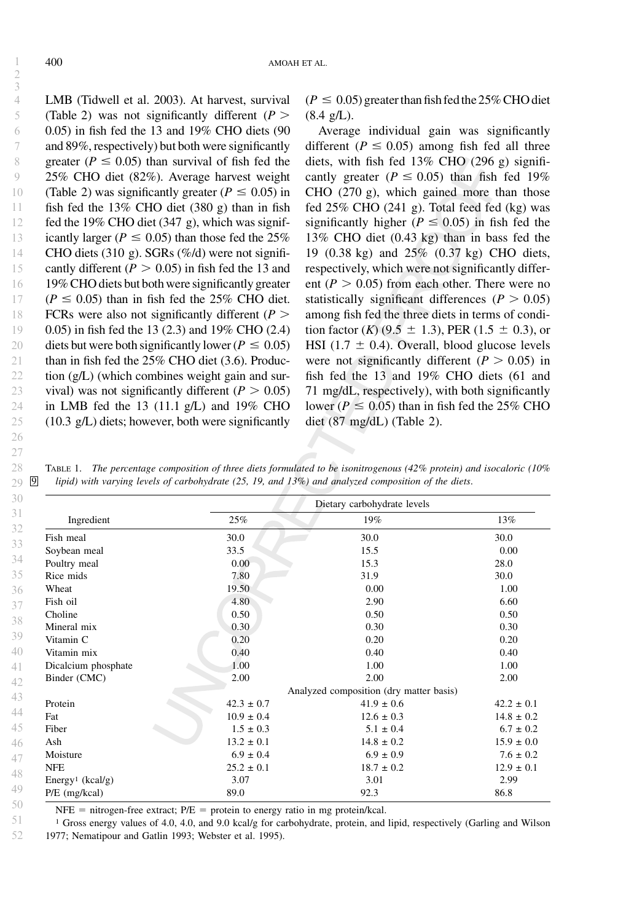LMB (Tidwell et al. 2003). At harvest, survival (Table 2) was not significantly different ( $P >$ 0.05) in fish fed the 13 and 19% CHO diets (90 and 89%, respectively) but both were significantly greater ( $P \leq 0.05$ ) than survival of fish fed the 25% CHO diet (82%). Average harvest weight (Table 2) was significantly greater ( $P \le 0.05$ ) in fish fed the 13% CHO diet (380 g) than in fish fed the 19% CHO diet (347 g), which was significantly larger ( $P \le 0.05$ ) than those fed the 25% CHO diets (310 g). SGRs  $(\frac{\%}{d})$  were not significantly different ( $P > 0.05$ ) in fish fed the 13 and 19% CHO diets but both were significantly greater  $(P \le 0.05)$  than in fish fed the 25% CHO diet. FCRs were also not significantly different ( $P >$ 0.05) in fish fed the 13 (2.3) and 19% CHO (2.4) diets but were both significantly lower ( $P \le 0.05$ ) than in fish fed the 25% CHO diet (3.6). Production (g/L) (which combines weight gain and survival) was not significantly different ( $P > 0.05$ ) in LMB fed the 13 (11.1 g/L) and 19% CHO (10.3 g/L) diets; however, both were significantly  $(P \le 0.05)$  greater than fish fed the 25% CHO diet  $(8.4 \text{ g/L}).$ 

Average individual gain was significantly different ( $P \le 0.05$ ) among fish fed all three diets, with fish fed 13% CHO (296 g) significantly greater ( $P \le 0.05$ ) than fish fed 19% CHO (270 g), which gained more than those fed 25% CHO (241 g). Total feed fed (kg) was significantly higher ( $P \le 0.05$ ) in fish fed the 13% CHO diet (0.43 kg) than in bass fed the 19 (0.38 kg) and 25% (0.37 kg) CHO diets, respectively, which were not significantly different ( $P > 0.05$ ) from each other. There were no statistically significant differences ( $P > 0.05$ ) among fish fed the three diets in terms of condition factor (K) (9.5  $\pm$  1.3), PER (1.5  $\pm$  0.3), or HSI (1.7  $\pm$  0.4). Overall, blood glucose levels were not significantly different ( $P > 0.05$ ) in fish fed the 13 and 19% CHO diets (61 and 71 mg/dL, respectively), with both significantly lower ( $P \le 0.05$ ) than in fish fed the 25% CHO diet (87 mg/dL) (Table 2).

TABLE 1. The percentage composition of three diets formulated to be isonitrogenous (42% protein) and isocaloric (10% lipid) with varying levels of carbohydrate (25, 19, and 13%) and analyzed composition of the diets. 29  $\boxed{9}$ 

|                              | Dietary carbohydrate levels |                                         |                |  |  |  |
|------------------------------|-----------------------------|-----------------------------------------|----------------|--|--|--|
| Ingredient                   | 25%                         | 19%                                     | 13%            |  |  |  |
| Fish meal                    | 30.0                        | 30.0                                    | 30.0           |  |  |  |
| Soybean meal                 | 33.5                        | 15.5                                    | 0.00           |  |  |  |
| Poultry meal                 | 0.00                        | 15.3                                    | 28.0           |  |  |  |
| Rice mids                    | 7.80                        | 31.9                                    | 30.0           |  |  |  |
| Wheat                        | 19.50                       | 0.00                                    | 1.00           |  |  |  |
| Fish oil                     | 4.80                        | 2.90                                    | 6.60           |  |  |  |
| Choline                      | 0.50                        | 0.50                                    | 0.50           |  |  |  |
| Mineral mix                  | 0.30                        | 0.30                                    | 0.30           |  |  |  |
| Vitamin C                    | 0.20                        | 0.20                                    | 0.20           |  |  |  |
| Vitamin mix                  | 0.40                        | 0.40                                    | 0.40           |  |  |  |
| Dicalcium phosphate          | 1.00                        | 1.00                                    | 1.00           |  |  |  |
| Binder (CMC)                 | 2.00                        | 2.00                                    | 2.00           |  |  |  |
|                              |                             | Analyzed composition (dry matter basis) |                |  |  |  |
| Protein                      | $42.3 \pm 0.7$              | $41.9 \pm 0.6$                          | $42.2 \pm 0.1$ |  |  |  |
| Fat                          | $10.9 \pm 0.4$              | $12.6 \pm 0.3$                          | $14.8 \pm 0.2$ |  |  |  |
| Fiber                        | $1.5 \pm 0.3$               | $5.1 \pm 0.4$                           | $6.7 \pm 0.2$  |  |  |  |
| Ash                          | $13.2 \pm 0.1$              | $14.8 \pm 0.2$                          | $15.9 \pm 0.0$ |  |  |  |
| Moisture                     | $6.9 \pm 0.4$               | $6.9 \pm 0.9$                           | $7.6 \pm 0.2$  |  |  |  |
| <b>NFE</b>                   | $25.2 \pm 0.1$              | $18.7 \pm 0.2$                          | $12.9 \pm 0.1$ |  |  |  |
| Energy <sup>1</sup> (kcal/g) | 3.07                        | 3.01                                    | 2.99           |  |  |  |
| $P/E$ (mg/kcal)              | 89.0                        | 92.3                                    | 86.8           |  |  |  |

 $NFE$  = nitrogen-free extract;  $P/E$  = protein to energy ratio in mg protein/kcal.

<sup>1</sup> Gross energy values of 4.0, 4.0, and 9.0 kcal/g for carbohydrate, protein, and lipid, respectively (Garling and Wilson 1977; Nematipour and Gatlin 1993; Webster et al. 1995). 51 52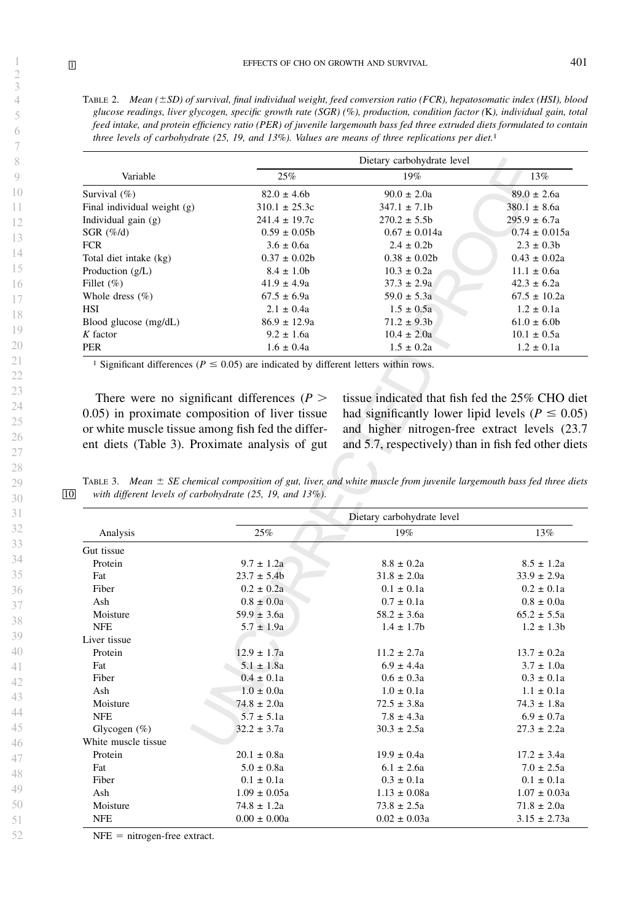TABLE 2. Mean  $(\pm SD)$  of survival, final individual weight, feed conversion ratio (FCR), hepatosomatic index (HSI), blood glucose readings, liver glycogen, specific growth rate (SGR) (%), production, condition factor (K), individual gain, total feed intake, and protein efficiency ratio (PER) of juvenile largemouth bass fed three extruded diets formulated to contain three levels of carbohydrate (25, 19, and 13%). Values are means of three replications per diet.<sup>1</sup>

|                             | Dietary carbohydrate level |                   |                   |  |  |
|-----------------------------|----------------------------|-------------------|-------------------|--|--|
| Variable                    | 25%                        | 19%               | 13%               |  |  |
| Survival $(\% )$            | $82.0 \pm 4.6$ h           | $90.0 \pm 2.0a$   | $89.0 \pm 2.6a$   |  |  |
| Final individual weight (g) | $310.1 \pm 25.3c$          | $347.1 \pm 7.1b$  | $380.1 \pm 8.6a$  |  |  |
| Individual gain $(g)$       | $241.4 \pm 19.7c$          | $270.2 \pm 5.5$ h | $295.9 \pm 6.7a$  |  |  |
| SGR $(\% / d)$              | $0.59 \pm 0.05$ h          | $0.67 \pm 0.014a$ | $0.74 \pm 0.015a$ |  |  |
| <b>FCR</b>                  | $3.6 \pm 0.6a$             | $2.4 \pm 0.2$     | $2.3 \pm 0.3$     |  |  |
| Total diet intake (kg)      | $0.37 \pm 0.02$ h          | $0.38 \pm 0.02$   | $0.43 \pm 0.02a$  |  |  |
| Production $(g/L)$          | $8.4 \pm 1.0$ b            | $10.3 \pm 0.2a$   | $11.1 \pm 0.6a$   |  |  |
| Fillet $(\% )$              | $41.9 \pm 4.9a$            | $37.3 \pm 2.9a$   | $42.3 \pm 6.2a$   |  |  |
| Whole dress $(\% )$         | $67.5 \pm 6.9a$            | $59.0 \pm 5.3a$   | $67.5 \pm 10.2a$  |  |  |
| <b>HSI</b>                  | $2.1 \pm 0.4a$             | $1.5 \pm 0.5a$    | $1.2 \pm 0.1a$    |  |  |
| Blood glucose (mg/dL)       | $86.9 \pm 12.9a$           | $71.2 \pm 9.3b$   | $61.0 \pm 6.0$    |  |  |
| $K$ factor                  | $9.2 \pm 1.6a$             | $10.4 \pm 2.0a$   | $10.1 \pm 0.5a$   |  |  |
| <b>PER</b>                  | $1.6 \pm 0.4a$             | $1.5 \pm 0.2a$    | $1.2 \pm 0.1a$    |  |  |

<sup>1</sup> Significant differences ( $P \le 0.05$ ) are indicated by different letters within rows.

There were no significant differences ( $P$  > 0.05) in proximate composition of liver tissue or white muscle tissue among fish fed the different diets (Table 3). Proximate analysis of gut tissue indicated that fish fed the 25% CHO diet had significantly lower lipid levels ( $P \le 0.05$ ) and higher nitrogen-free extract levels (23.7 and 5.7, respectively) than in fish fed other diets

TABLE 3. Mean  $\pm$  SE chemical composition of gut, liver, and white muscle from juvenile largemouth bass fed three diets 10 with different levels of carbohydrate (25, 19, and 13%).

|                     | Dietary carbohydrate level |                  |                  |  |  |
|---------------------|----------------------------|------------------|------------------|--|--|
| Analysis            | 25%                        | 19%              | 13%              |  |  |
| Gut tissue          |                            |                  |                  |  |  |
| Protein             | $9.7 \pm 1.2a$             | $8.8 \pm 0.2a$   | $8.5 \pm 1.2a$   |  |  |
| Fat                 | $23.7 \pm 5.4b$            | $31.8 \pm 2.0a$  | $33.9 \pm 2.9a$  |  |  |
| Fiber               | $0.2 \pm 0.2a$             | $0.1 \pm 0.1a$   | $0.2 \pm 0.1a$   |  |  |
| Ash                 | $0.8 \pm 0.0a$             | $0.7 \pm 0.1a$   | $0.8 \pm 0.0a$   |  |  |
| Moisture            | $59.9 \pm 3.6a$            | $58.2 \pm 3.6a$  | $65.2 \pm 5.5a$  |  |  |
| <b>NFE</b>          | $5.7 \pm 1.9a$             | $1.4 \pm 1.7$    | $1.2 \pm 1.3b$   |  |  |
| Liver tissue        |                            |                  |                  |  |  |
| Protein             | $12.9 \pm 1.7a$            | $11.2 \pm 2.7a$  | $13.7 + 0.2a$    |  |  |
| Fat                 | $5.1 \pm 1.8a$             | $6.9 \pm 4.4a$   | $3.7 \pm 1.0a$   |  |  |
| Fiber               | $0.4 \pm 0.1a$             | $0.6 \pm 0.3a$   | $0.3 \pm 0.1a$   |  |  |
| Ash                 | $1.0 \pm 0.0a$             | $1.0 \pm 0.1a$   | $1.1 \pm 0.1a$   |  |  |
| Moisture            | $74.8 \pm 2.0a$            | $72.5 \pm 3.8a$  | $74.3 \pm 1.8a$  |  |  |
| <b>NFE</b>          | $5.7 \pm 5.1a$             | $7.8 \pm 4.3a$   | $6.9 \pm 0.7a$   |  |  |
| Glycogen $(\%)$     | $32.2 \pm 3.7a$            | $30.3 \pm 2.5a$  | $27.3 \pm 2.2a$  |  |  |
| White muscle tissue |                            |                  |                  |  |  |
| Protein             | $20.1 \pm 0.8a$            | $19.9 \pm 0.4a$  | $17.2 \pm 3.4a$  |  |  |
| Fat                 | $5.0 \pm 0.8a$             | $6.1 \pm 2.6a$   | $7.0 \pm 2.5a$   |  |  |
| Fiber               | $0.1 \pm 0.1a$             | $0.3 \pm 0.1a$   | $0.1 \pm 0.1a$   |  |  |
| Ash                 | $1.09 \pm 0.05a$           | $1.13 \pm 0.08a$ | $1.07 \pm 0.03a$ |  |  |
| Moisture            | $74.8 \pm 1.2a$            | $73.8 \pm 2.5a$  | $71.8 \pm 2.0a$  |  |  |
| <b>NFE</b>          | $0.00 \pm 0.00a$           | $0.02 \pm 0.03a$ | $3.15 \pm 2.73a$ |  |  |

 $NFE$  = nitrogen-free extract.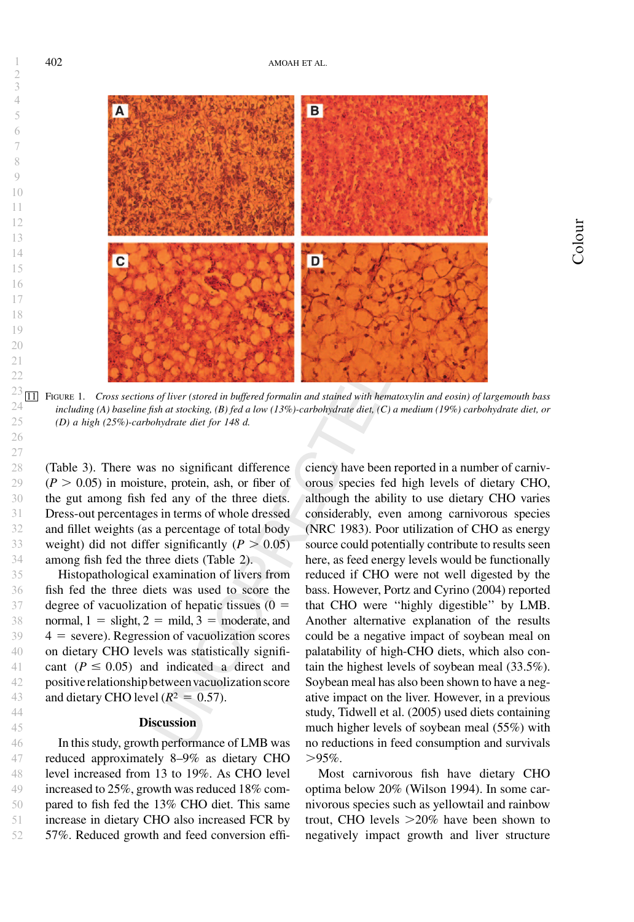$\overline{B}$  $\overline{c}$ D

 $^{23}$   $\overline{11}$  FIGURE 1. Cross sections of liver (stored in buffered formalin and stained with hematoxylin and eosin) of largemouth bass including (A) baseline fish at stocking, (B) fed a low (13%)-carbohydrate diet, (C) a medium (19%) carbohydrate diet, or (D) a high (25%)-carbohydrate diet for 148 d.

(Table 3). There was no significant difference  $(P > 0.05)$  in moisture, protein, ash, or fiber of the gut among fish fed any of the three diets. Dress-out percentages in terms of whole dressed and fillet weights (as a percentage of total body weight) did not differ significantly ( $P > 0.05$ ) among fish fed the three diets (Table 2).

Histopathological examination of livers from fish fed the three diets was used to score the degree of vacuolization of hepatic tissues  $(0 =$ normal,  $1 =$  slight,  $2 =$  mild,  $3 =$  moderate, and  $4 =$  severe). Regression of vacuolization scores on dietary CHO levels was statistically significant ( $P \le 0.05$ ) and indicated a direct and positive relationship betweenvacuolization score and dietary CHO level ( $R<sup>2</sup> = 0.57$ ).

## **Discussion**

In this study, growth performance of LMB was reduced approximately 8–9% as dietary CHO level increased from 13 to 19%. As CHO level increased to 25%, growth was reduced 18% compared to fish fed the 13% CHO diet. This same increase in dietary CHO also increased FCR by 57%. Reduced growth and feed conversion effi-47 48 49 50 51 52

ciency have been reported in a number of carnivorous species fed high levels of dietary CHO, although the ability to use dietary CHO varies considerably, even among carnivorous species (NRC 1983). Poor utilization of CHO as energy source could potentially contribute to results seen here, as feed energy levels would be functionally reduced if CHO were not well digested by the bass. However, Portz and Cyrino (2004) reported that CHO were ''highly digestible'' by LMB. Another alternative explanation of the results could be a negative impact of soybean meal on palatability of high-CHO diets, which also contain the highest levels of soybean meal (33.5%). Soybean meal has also been shown to have a negative impact on the liver. However, in a previous study, Tidwell et al. (2005) used diets containing much higher levels of soybean meal (55%) with no reductions in feed consumption and survivals  $>95\%$ .

Most carnivorous fish have dietary CHO optima below 20% (Wilson 1994). In some carnivorous species such as yellowtail and rainbow trout, CHO levels  $>20\%$  have been shown to negatively impact growth and liver structure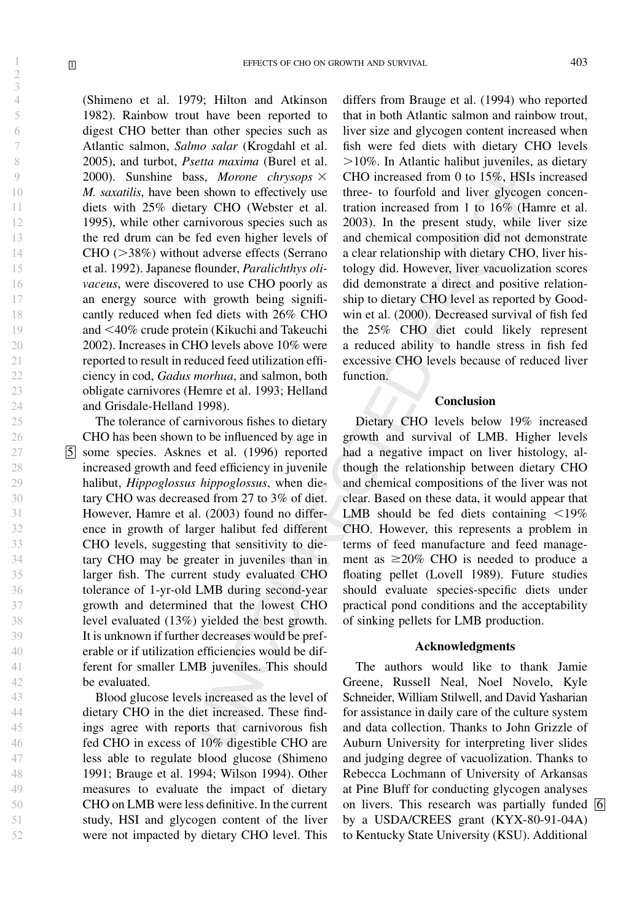2 3 4

(Shimeno et al. 1979; Hilton and Atkinson 1982). Rainbow trout have been reported to digest CHO better than other species such as Atlantic salmon, Salmo salar (Krogdahl et al. 2005), and turbot, Psetta maxima (Burel et al. 2000). Sunshine bass, Morone chrysops  $\times$ M. saxatilis, have been shown to effectively use diets with 25% dietary CHO (Webster et al. 1995), while other carnivorous species such as the red drum can be fed even higher levels of  $CHO$  ( $>38\%$ ) without adverse effects (Serrano et al. 1992). Japanese flounder, Paralichthys olivaceus, were discovered to use CHO poorly as an energy source with growth being significantly reduced when fed diets with 26% CHO and ,40% crude protein (Kikuchi and Takeuchi 2002). Increases in CHO levels above 10% were reported to result in reduced feed utilization efficiency in cod, Gadus morhua, and salmon, both obligate carnivores (Hemre et al. 1993; Helland and Grisdale-Helland 1998).

The tolerance of carnivorous fishes to dietary CHO has been shown to be influenced by age in 5 some species. Asknes et al. (1996) reported increased growth and feed efficiency in juvenile halibut, Hippoglossus hippoglossus, when dietary CHO was decreased from 27 to 3% of diet. However, Hamre et al. (2003) found no difference in growth of larger halibut fed different CHO levels, suggesting that sensitivity to dietary CHO may be greater in juveniles than in larger fish. The current study evaluated CHO tolerance of 1-yr-old LMB during second-year growth and determined that the lowest CHO level evaluated (13%) yielded the best growth. It is unknown if further decreases would be preferable or if utilization efficiencies would be different for smaller LMB juveniles. This should be evaluated.

Blood glucose levels increased as the level of dietary CHO in the diet increased. These findings agree with reports that carnivorous fish fed CHO in excess of 10% digestible CHO are less able to regulate blood glucose (Shimeno 1991; Brauge et al. 1994; Wilson 1994). Other measures to evaluate the impact of dietary CHO on LMB were less definitive. In the current study, HSI and glycogen content of the liver were not impacted by dietary CHO level. This

differs from Brauge et al. (1994) who reported that in both Atlantic salmon and rainbow trout, liver size and glycogen content increased when fish were fed diets with dietary CHO levels  $>10\%$ . In Atlantic halibut juveniles, as dietary CHO increased from 0 to 15%, HSIs increased three- to fourfold and liver glycogen concentration increased from 1 to 16% (Hamre et al. 2003). In the present study, while liver size and chemical composition did not demonstrate a clear relationship with dietary CHO, liver histology did. However, liver vacuolization scores did demonstrate a direct and positive relationship to dietary CHO level as reported by Goodwin et al. (2000). Decreased survival of fish fed the 25% CHO diet could likely represent a reduced ability to handle stress in fish fed excessive CHO levels because of reduced liver function.

## Conclusion

Dietary CHO levels below 19% increased growth and survival of LMB. Higher levels had a negative impact on liver histology, although the relationship between dietary CHO and chemical compositions of the liver was not clear. Based on these data, it would appear that LMB should be fed diets containing  $\langle 19\%$ CHO. However, this represents a problem in terms of feed manufacture and feed management as  $\geq$ 20% CHO is needed to produce a floating pellet (Lovell 1989). Future studies should evaluate species-specific diets under practical pond conditions and the acceptability of sinking pellets for LMB production.

#### Acknowledgments

The authors would like to thank Jamie Greene, Russell Neal, Noel Novelo, Kyle Schneider, William Stilwell, and David Yasharian for assistance in daily care of the culture system and data collection. Thanks to John Grizzle of Auburn University for interpreting liver slides and judging degree of vacuolization. Thanks to Rebecca Lochmann of University of Arkansas at Pine Bluff for conducting glycogen analyses on livers. This research was partially funded  $\overline{6}$ by a USDA/CREES grant (KYX-80-91-04A) to Kentucky State University (KSU). Additional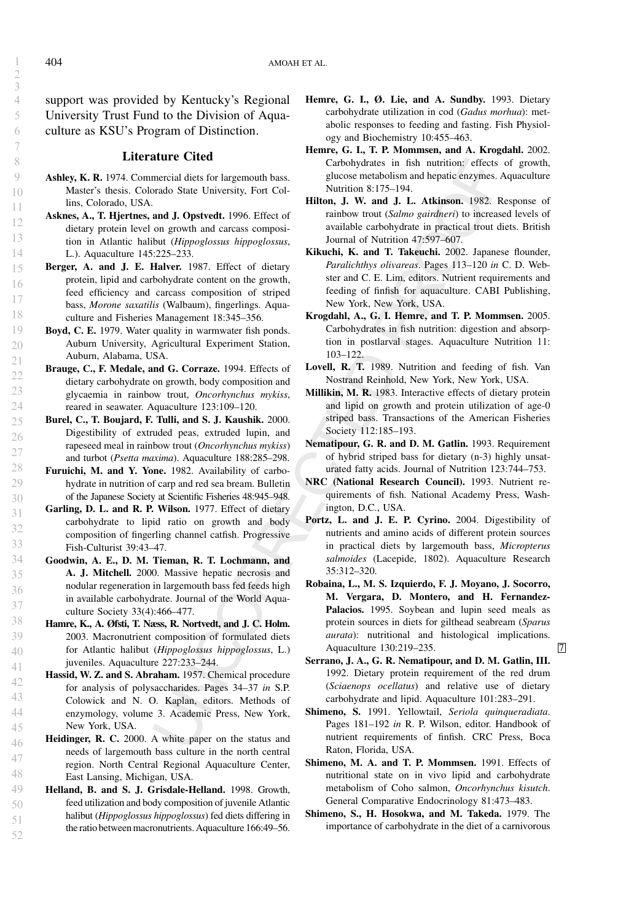support was provided by Kentucky's Regional University Trust Fund to the Division of Aquaculture as KSU's Program of Distinction.

## Literature Cited

- Ashley, K. R. 1974. Commercial diets for largemouth bass. Master's thesis. Colorado State University, Fort Collins, Colorado, USA.
- Asknes, A., T. Hjertnes, and J. Opstvedt. 1996. Effect of dietary protein level on growth and carcass composition in Atlantic halibut (Hippoglossus hippoglossus, L.). Aquaculture 145:225–233.
- Berger, A. and J. E. Halver. 1987. Effect of dietary protein, lipid and carbohydrate content on the growth, feed efficiency and carcass composition of striped bass, Morone saxatilis (Walbaum), fingerlings. Aquaculture and Fisheries Management 18:345–356.
- Boyd, C. E. 1979. Water quality in warmwater fish ponds. Auburn University, Agricultural Experiment Station, Auburn, Alabama, USA.
- Brauge, C., F. Medale, and G. Corraze. 1994. Effects of dietary carbohydrate on growth, body composition and glycaemia in rainbow trout, Oncorhynchus mykiss, reared in seawater. Aquaculture 123:109–120.
- Burel, C., T. Boujard, F. Tulli, and S. J. Kaushik. 2000. Digestibility of extruded peas, extruded lupin, and rapeseed meal in rainbow trout (Oncorhynchus mykiss) and turbot (Psetta maxima). Aquaculture 188:285–298.
- Furuichi, M. and Y. Yone. 1982. Availability of carbohydrate in nutrition of carp and red sea bream. Bulletin of the Japanese Society at Scientific Fisheries 48:945–948.
- Garling, D. L. and R. P. Wilson. 1977. Effect of dietary carbohydrate to lipid ratio on growth and body composition of fingerling channel catfish. Progressive Fish-Culturist 39:43–47.
- Goodwin, A. E., D. M. Tieman, R. T. Lochmann, and A. J. Mitchell. 2000. Massive hepatic necrosis and nodular regeneration in largemouth bass fed feeds high in available carbohydrate. Journal of the World Aquaculture Society 33(4):466–477.
- Hamre, K., A. Øfsti, T. Næss, R. Nortvedt, and J. C. Holm. 2003. Macronutrient composition of formulated diets for Atlantic halibut (Hippoglossus hippoglossus, L.) juveniles. Aquaculture 227:233–244.
- Hassid, W. Z. and S. Abraham. 1957. Chemical procedure for analysis of polysaccharides. Pages 34–37 in S.P. Colowick and N. O. Kaplan, editors. Methods of enzymology, volume 3. Academic Press, New York, New York, USA. 42 43 44 45
- Heidinger, R. C. 2000. A white paper on the status and needs of largemouth bass culture in the north central region. North Central Regional Aquaculture Center, East Lansing, Michigan, USA. 46 48
- Helland, B. and S. J. Grisdale-Helland. 1998. Growth, feed utilization and body composition of juvenile Atlantic halibut (Hippoglossus hippoglossus) fed diets differing in the ratio between macronutrients. Aquaculture 166:49–56. 49 50 51 52
- Hemre, G. I., Ø. Lie, and A. Sundby. 1993. Dietary carbohydrate utilization in cod (Gadus morhua): metabolic responses to feeding and fasting. Fish Physiology and Biochemistry 10:455–463.
- Hemre, G. I., T. P. Mommsen, and A. Krogdahl. 2002. Carbohydrates in fish nutrition: effects of growth, glucose metabolism and hepatic enzymes. Aquaculture Nutrition 8:175–194.
- Hilton, J. W. and J. L. Atkinson. 1982. Response of rainbow trout (Salmo gairdneri) to increased levels of available carbohydrate in practical trout diets. British Journal of Nutrition 47:597–607.
- Kikuchi, K. and T. Takeuchi. 2002. Japanese flounder, Paralichthys olivareas. Pages 113–120 in C. D. Webster and C. E. Lim, editors. Nutrient requirements and feeding of finfish for aquaculture. CABI Publishing, New York, New York, USA.
- Krogdahl, A., G. I. Hemre, and T. P. Mommsen. 2005. Carbohydrates in fish nutrition: digestion and absorption in postlarval stages. Aquaculture Nutrition 11: 103–122.
- Lovell, R. T. 1989. Nutrition and feeding of fish. Van Nostrand Reinhold, New York, New York, USA.
- Millikin, M. R. 1983. Interactive effects of dietary protein and lipid on growth and protein utilization of age-0 striped bass. Transactions of the American Fisheries Society 112:185–193.
- Nematipour, G. R. and D. M. Gatlin. 1993. Requirement of hybrid striped bass for dietary (n-3) highly unsaturated fatty acids. Journal of Nutrition 123:744–753.
- NRC (National Research Council). 1993. Nutrient requirements of fish. National Academy Press, Washington, D.C., USA.
- Portz, L. and J. E. P. Cyrino. 2004. Digestibility of nutrients and amino acids of different protein sources in practical diets by largemouth bass, Micropterus salmoides (Lacepide, 1802). Aquaculture Research 35:312–320.
- Robaina, L., M. S. Izquierdo, F. J. Moyano, J. Socorro, M. Vergara, D. Montero, and H. Fernandez-Palacios. 1995. Soybean and lupin seed meals as protein sources in diets for gilthead seabream (Sparus aurata): nutritional and histological implications. Aquaculture 130:219–235.
- Serrano, J. A., G. R. Nematipour, and D. M. Gatlin, III. 1992. Dietary protein requirement of the red drum (Sciaenops ocellatus) and relative use of dietary carbohydrate and lipid. Aquaculture 101:283–291.
- Shimeno, S. 1991. Yellowtail, Seriola quinqueradiata. Pages 181–192 in R. P. Wilson, editor. Handbook of nutrient requirements of finfish. CRC Press, Boca Raton, Florida, USA.
- Shimeno, M. A. and T. P. Mommsen. 1991. Effects of nutritional state on in vivo lipid and carbohydrate metabolism of Coho salmon, Oncorhynchus kisutch. General Comparative Endocrinology 81:473–483.
- Shimeno, S., H. Hosokwa, and M. Takeda. 1979. The importance of carbohydrate in the diet of a carnivorous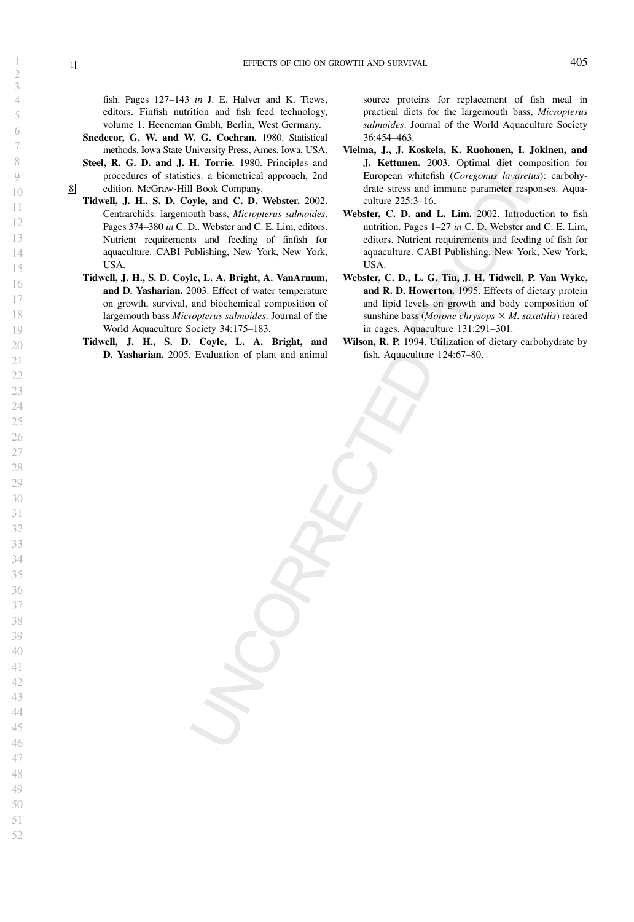fish. Pages 127–143 in J. E. Halver and K. Tiews, editors. Finfish nutrition and fish feed technology, volume 1. Heeneman Gmbh, Berlin, West Germany.

- Snedecor, G. W. and W. G. Cochran. 1980. Statistical methods. Iowa State University Press, Ames, Iowa, USA.
- Steel, R. G. D. and J. H. Torrie. 1980. Principles and procedures of statistics: a biometrical approach, 2nd 8 edition. McGraw-Hill Book Company.
	- Tidwell, J. H., S. D. Coyle, and C. D. Webster. 2002. Centrarchids: largemouth bass, Micropterus salmoides. Pages 374–380 in C. D.. Webster and C. E. Lim, editors. Nutrient requirements and feeding of finfish for aquaculture. CABI Publishing, New York, New York, USA.
	- Tidwell, J. H., S. D. Coyle, L. A. Bright, A. VanArnum, and D. Yasharian. 2003. Effect of water temperature on growth, survival, and biochemical composition of largemouth bass Micropterus salmoides. Journal of the World Aquaculture Society 34:175–183.
	- Tidwell, J. H., S. D. Coyle, L. A. Bright, and D. Yasharian. 2005. Evaluation of plant and animal

source proteins for replacement of fish meal in practical diets for the largemouth bass, Micropterus salmoides. Journal of the World Aquaculture Society 36:454–463.

- Vielma, J., J. Koskela, K. Ruohonen, I. Jokinen, and J. Kettunen. 2003. Optimal diet composition for European whitefish (Coregonus lavaretus): carbohydrate stress and immune parameter responses. Aquaculture 225:3–16.
- Webster, C. D. and L. Lim. 2002. Introduction to fish nutrition. Pages 1–27 in C. D. Webster and C. E. Lim, editors. Nutrient requirements and feeding of fish for aquaculture. CABI Publishing, New York, New York, USA.
- Webster, C. D., L. G. Tiu, J. H. Tidwell, P. Van Wyke, and R. D. Howerton. 1995. Effects of dietary protein and lipid levels on growth and body composition of sunshine bass (Morone chrysops  $\times$  M. saxatilis) reared in cages. Aquaculture 131:291–301.
- Wilson, R. P. 1994. Utilization of dietary carbohydrate by fish. Aquaculture 124:67–80.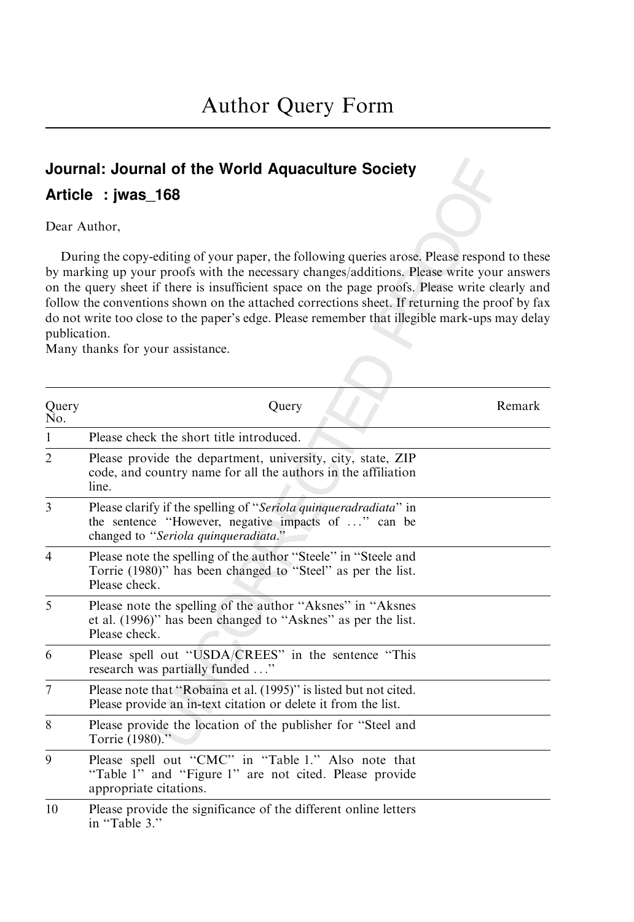# Journal: Journal of the World Aquaculture Society Article : jwas\_168

Dear Author,

During the copy-editing of your paper, the following queries arose. Please respond to these by marking up your proofs with the necessary changes/additions. Please write your answers on the query sheet if there is insufficient space on the page proofs. Please write clearly and follow the conventions shown on the attached corrections sheet. If returning the proof by fax do not write too close to the paper's edge. Please remember that illegible mark-ups may delay publication.

Many thanks for your assistance.

| Query<br>No.   | Query                                                                                                                                                           | Remark |
|----------------|-----------------------------------------------------------------------------------------------------------------------------------------------------------------|--------|
| 1              | Please check the short title introduced.                                                                                                                        |        |
| $\overline{2}$ | Please provide the department, university, city, state, ZIP<br>code, and country name for all the authors in the affiliation<br>line.                           |        |
| 3              | Please clarify if the spelling of "Seriola quinqueradradiata" in<br>the sentence "However, negative impacts of " can be<br>changed to "Seriola quinqueradiata." |        |
| $\overline{4}$ | Please note the spelling of the author "Steele" in "Steele and<br>Torrie (1980)" has been changed to "Steel" as per the list.<br>Please check.                  |        |
| 5              | Please note the spelling of the author "Aksnes" in "Aksnes"<br>et al. (1996)" has been changed to "Asknes" as per the list.<br>Please check.                    |        |
| 6              | Please spell out "USDA/CREES" in the sentence "This<br>research was partially funded "                                                                          |        |
| 7              | Please note that "Robaina et al. (1995)" is listed but not cited.<br>Please provide an in-text citation or delete it from the list.                             |        |
| 8              | Please provide the location of the publisher for "Steel and<br>Torrie (1980)."                                                                                  |        |
| 9              | Please spell out "CMC" in "Table 1." Also note that<br>"Table 1" and "Figure 1" are not cited. Please provide<br>appropriate citations.                         |        |
| 10             | Please provide the significance of the different online letters<br>in "Table 3."                                                                                |        |